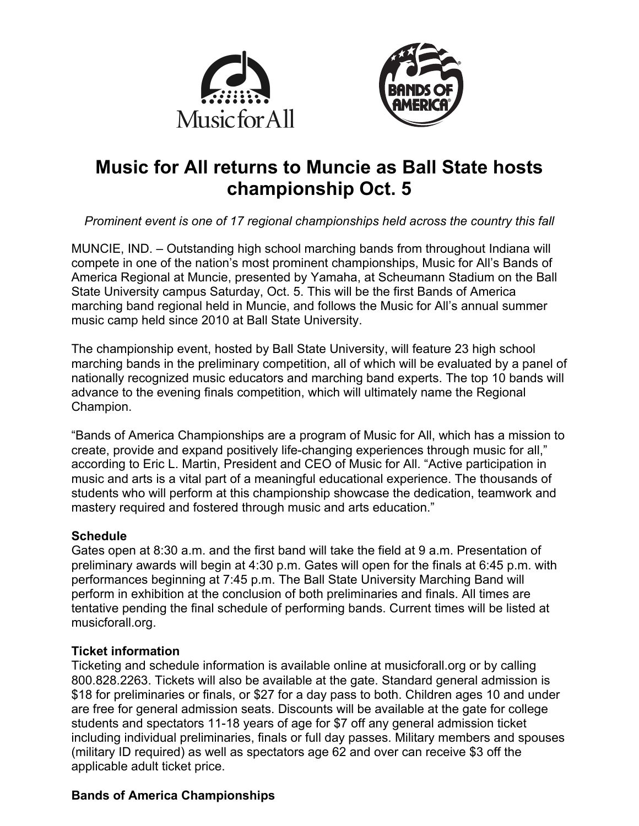



# **Music for All returns to Muncie as Ball State hosts championship Oct. 5**

*Prominent event is one of 17 regional championships held across the country this fall*

MUNCIE, IND. – Outstanding high school marching bands from throughout Indiana will compete in one of the nation's most prominent championships, Music for All's Bands of America Regional at Muncie, presented by Yamaha, at Scheumann Stadium on the Ball State University campus Saturday, Oct. 5. This will be the first Bands of America marching band regional held in Muncie, and follows the Music for All's annual summer music camp held since 2010 at Ball State University.

The championship event, hosted by Ball State University, will feature 23 high school marching bands in the preliminary competition, all of which will be evaluated by a panel of nationally recognized music educators and marching band experts. The top 10 bands will advance to the evening finals competition, which will ultimately name the Regional Champion.

"Bands of America Championships are a program of Music for All, which has a mission to create, provide and expand positively life-changing experiences through music for all," according to Eric L. Martin, President and CEO of Music for All. "Active participation in music and arts is a vital part of a meaningful educational experience. The thousands of students who will perform at this championship showcase the dedication, teamwork and mastery required and fostered through music and arts education."

## **Schedule**

Gates open at 8:30 a.m. and the first band will take the field at 9 a.m. Presentation of preliminary awards will begin at 4:30 p.m. Gates will open for the finals at 6:45 p.m. with performances beginning at 7:45 p.m. The Ball State University Marching Band will perform in exhibition at the conclusion of both preliminaries and finals. All times are tentative pending the final schedule of performing bands. Current times will be listed at musicforall.org.

# **Ticket information**

Ticketing and schedule information is available online at musicforall.org or by calling 800.828.2263. Tickets will also be available at the gate. Standard general admission is \$18 for preliminaries or finals, or \$27 for a day pass to both. Children ages 10 and under are free for general admission seats. Discounts will be available at the gate for college students and spectators 11-18 years of age for \$7 off any general admission ticket including individual preliminaries, finals or full day passes. Military members and spouses (military ID required) as well as spectators age 62 and over can receive \$3 off the applicable adult ticket price.

# **Bands of America Championships**